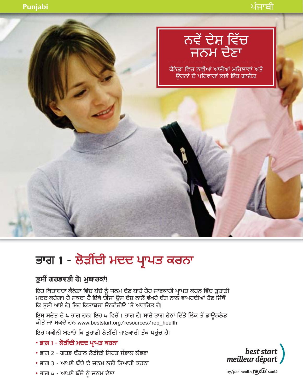

# ਭਾਗ 1 - ਲੋੜੀਂਦੀ ਮਦਦ ਪ੍ਰਾਪਤ ਕਰਨਾ

## ਤੁਸੀਂ ਗਰਭਵਤੀ ਹੋ। ਮੁਬਾਰਕਾਂ!

ਇਹ ਕਿਤਾਬਚਾ ਕੈਨੇਡਾ ਵਿੱਚ ਬੱਚੇ ਨੂੰ ਜਨਮ ਦੇਣ ਬਾਰੇ ਹੋਰ ਜਾਣਕਾਰੀ ਪ੍ਰਾਪਤ ਕਰਨ ਵਿੱਚ ਤੁਹਾਡੀ<br>ਮਦਦ ਕਰੇਗਾ। ਹੋ ਸਕਦਾ ਹੈ ਇੱਥੇ ਚੀਜਾਂ ਉਸ ਦੇਸ਼ ਨਾਲੋਂ ਵੱਖਰੇ ਢੰਗ ਨਾਲ ਵਾਪਰਦੀਆਂ ਹੋਣ ਜਿੱਥੋਂ ਕਿ ਤੁਸੀਂ ਆਏ ਹੋ। ਇਹ ਕਿਤਾਬਚਾ ਓਨਟੈਰੀਓ 'ਤੇ ਅਧਾਰਿਤ ਹੈ।

ਇਸ ਸਰੋਤ ਦੇ 4 ਭਾਗ ਹਨ। ਇਹ 4 ਵਿਚੋਂ 1 ਭਾਗ ਹੈ। ਸਾਰੇ ਭਾਗ ਹੇਠਾਂ ਦਿੱਤੇ ਲਿੰਕ ਤੋਂ ਡਾਊਨਲੋਡ ਕੀਤੇ ਜਾ ਸਕਦੇ ਹਨ www.beststart.org/resources/rep\_health

ਇਹ ਯਕੀਨੀ ਬਣਾਓ ਕਿ ਤੁਹਾਡੀ ਲੋੜੀਂਦੀ ਜਾਣਕਾਰੀ ਤੱਕ ਪਹੁੰਚ ਹੈ।

- ਭਾਗ 1 ਲੋੜੀਂਦੀ ਮਦਦ ਪ੍ਰਾਪਤ ਕਰਨਾ
- ਭਾਗ 2 ਗਰਭ ਦੌਰਾਨ ਲੋਤੀਂਦੀ ਸਿਹਤ ਸੰਭਾਲ ਲੱਭਣਾ
- ਭਾਗ 3 ਆਪਣੇ ਬੱਚੇ ਦੇ ਜਨਮ ਲਈ ਤਿਆਰੀ ਕਰਨਾ
- ਭਾਗ 4 ਆਪਣੇ ਬੱਚੇ ਨੂੰ ਜਨਮ ਦੇਣਾ



by/par health nexus santé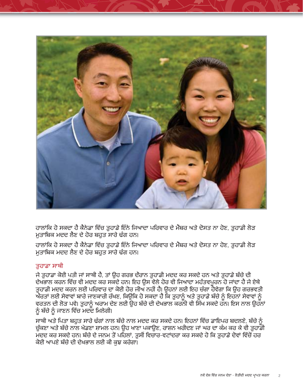

ਹਾਲਾਂਕਿ ਹੋ ਸਕਦਾ ਹੈ ਕੈਨੇਡਾ ਵਿੱਚ ਤੁਹਾਡੇ ਇੰਨੇ ਜਿਆਦਾ ਪਰਿਵਾਰ ਦੇ ਮੈਂਬਰ ਅਤੇ ਦੋਸਤ ਨਾ ਹੋਣ, ਤੁਹਾਡੀ ਲੋੜ ਮੁਤਾਬਿਕ ਮਦਦ ਲੈਣ ਦੇ ਹੋਰ ਬਹੁਤ ਸਾਰੇ ਢੰਗ ਹਨ।

ਹਾਲਾਂਕਿ ਹੋ ਸਕਦਾ ਹੈ ਕੈਨੇਡਾ ਵਿੱਚ ਤਹਾਡੇ ਇੰਨੇ ਜਿਆਦਾ ਪਰਿਵਾਰ ਦੇ ਮੈਂਬਰ ਅਤੇ ਦੋਸਤ ਨਾ ਹੋਣ, ਤਹਾਡੀ ਲੋੜ ਮਤਾਬਿਕ ਮਦਦ ਲੈਣ ਦੇ ਹੋਰ ਬਹੁਤ ਸਾਰੇ ਢੰਗ ਹਨ।

#### ਤਹਾਡਾ ਸਾਥੀ

ਜੇ ਤਹਾਡਾ ਕੋਈ ਪਤੀ ਜਾਂ ਸਾਥੀ ਹੈ, ਤਾਂ ੳਹ ਗਰਭ ਦੌਰਾਨ ਤਹਾਡੀ ਮਦਦ ਕਰ ਸਕਦੇ ਹਨ ਅਤੇ ਤਹਾਡੇ ਬੱਚੇ ਦੀ ਦੇਖਭਾਲ ਕਰਨ ਵਿੱਚ ਵੀ ਮਦਦ ਕਰ ਸਕਦੇ ਹਨ। ਇਹ ਉਸ ਵੇਲੇ ਹੋਰ ਵੀ ਜਿਆਦਾ ਮਹੱਤਵਪਰਨ ਹੋ ਜਾਂਦਾ ਹੈ ਜੇ ਏਥੇ ਤੁਹਾਡੀ ਮਦਦ ਕਰਨ ਲਈ ਪਰਿਵਾਰ ਦਾ ਕੋਈ ਹੋਰ ਜੀਅ ਨਹੀਂ ਹੈ। ਉਹਨਾਂ ਲਈ ਇਹ ਚੰਗਾ ਹੋਵੇਗਾ ਕਿ ਉਹ ਗਰਭਵਤੀ ਤੁੱਤ ਤਾਂ ਸਭਤਾ ਜਤਮ ਸਾਰੀ ਸਾਣਕਾਰੀ ਰੱਖਣ, ਕਿਉਂਕਿ ਹੋ ਸਕਦਾ ਹੈ ਕਿ ਤੁਹਾਨੂੰ ਅਤੇ ਤੁਹਾਡੇ ਬੱਚੇ ਨੂੰ ਇਹਨਾਂ ਸੇਵਾਵਾਂ ਨੂੰ ਵਰਤਨ ਦੀ ਲੋੜ ਪਵੇ। ਤੁਹਾਨੂੰ ਅਰਾਮ ਦੇਣ ਲਈ ਉਹ ਬੱਚੇ ਦੀ ਦੇਖਭਾਲ ਕਰਨੀ ਵੀ ਸਿੱਖ ਸਕਦੇ ਹਨ। ਇਸ ਨਾਲ ਉਹਨਾਂ ਨੂੰ ਬੱਚੇ ਨੂੰ ਜਾਣਨ ਵਿੱਚ ਮਦਦ ਮਿਲੇਗੀ।

ਸਾਥੀ ਅਤੇ ਪਿਤਾ ਬਹੁਤ ਸਾਰੇ ਢੰਗਾਂ ਨਾਲ ਬੱਚੇ ਨਾਲ ਮਦਦ ਕਰ ਸਕਦੇ ਹਨ। ਇਹਨਾਂ ਵਿੱਚ ਡਾਇਪਰ ਬਦਲਣੇ, ਬੱਚੇ ਨੂੰ ਚੁੱਕਣਾ ਅਤੇ ਬੱਚੇ ਨਾਲ ਖੇਡਣਾ ਸ਼ਾਮਲ ਹਨ। ਉਹ ਖਾਣਾ ਪਕਾਉਣ, ਰਾਸ਼ਨ ਖਰੀਦਣ ਜਾਂ ਘਰ ਦਾ ਕੰਮ ਕਰ ਕੇ ਵੀ ਤੁਹਾਡੀ ੱਦਦ ਕਰ ਸਕਦੇ ਹਨ। ਬੱਚੇ ਦੇ ਜਨਮ ਤੋਂ ਪਹਿਲਾਂ, ਤਸੀਂ ਵਿਚਾਰ-ਵਟਾਂਦਰਾ ਕਰ ਸਕਦੇ ਹੋ ਕਿ ਤਹਾਡੇ ਦੋਵਾਂ ਵਿੱਚੋਂ ਹਰ ਕੋਈ ਆਪਣੇ ਬੱਚੇ ਦੀ ਦੇਖਭਾਲ ਲਈ ਕੀ ਕਝ ਕਰੇਗਾ।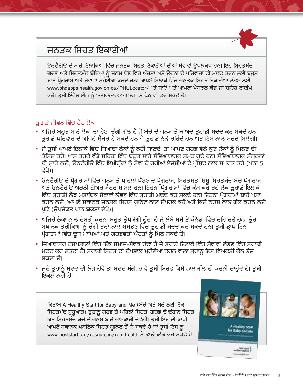## ਜਨਤਕ ਸਿਹਤ ਇਕਾਈਆਂ

ਓਨਟੈਰੀਓ ਦੇ ਸਾਰੇ ਇਲਾਕਿਆਂ ਵਿੱਚ ਜਨਤਕ ਸਿਹਤ ਇਕਾਈਆਂ ਦੀਆਂ ਸੇਵਾਵਾਂ ੳਪਲਬਧ ਹਨ। ਇਹ ਸਿਹਤਮੰਦ ਗਰਭ ਅਤੇ ਸਿਹਤਮੰਦ ਬੱਚਿਆਂ ਨੂੰ ਜਨਮ ਦੇਣ ਵਿੱਚ ਔਰਤਾਂ ਅਤੇ ਉਹਨਾਂ ਦੇ ਪਰਿਵਾਰਾਂ ਦੀ ਮਦਦ ਕਰਨ ਲਈ ਬਹੁਤ ਸਾਰੇ ਪੋਗਰਾਮ ਅਤੇ ਸੇਵਾਵਾਂ ਮਹੱਈਆ ਕਰਦੇ ਹਨ। ਆਪਣੇ ਇਲਾਕੇ ਵਿੱਚ ਜਨਤਕ ਸਿਹਤ ਇਕਾਈਆਂ ਲੱਭਣ ਲਈ. www.phdapps.health.gov.on.ca/PHULocator/ 'ਤੇ ਜਾਓ ਅਤੇ ਆਪਣਾ ਪੋਸਟਲ ਕੋਡ ਜਾਂ ਸ਼ਹਿਰ ਟਾਈਪ ਕਰੋ। ਤੁਸੀਂ ਇੰਫੋਲਾਈਨ ਨੂੰ 1-866-532-3161 'ਤੇ ਫ਼ੋਨ ਵੀ ਕਰ ਸਕਦੇ ਹੋ।

#### ਤਹਾਡੇ ਜੀਵਨ ਵਿੱਚ ਹੋਰ ਲੋਕ

- ਅਜਿਹੇ ਬਹੁਤ ਸਾਰੇ ਲੋਕਾਂ ਦਾ ਹੋਣਾ ਚੰਗੀ ਗੱਲ ਹੈ ਜੋ ਬੱਚੇ ਦੇ ਜਨਮ ਤੋਂ ਬਾਅਦ ਤੁਹਾਡੀ ਮਦਦ ਕਰ ਸਕਦੇ ਹਨ। ਤਹਾਡੇ ਪਰਿਵਾਰ ਦੇ ਅਜਿਹੇ ਮੈਂਬਰ ਹੋ ਸਕਦੇ ਹਨ ਜੋ ਤਹਾਡੇ ਨੇੜੇ ਰਹਿੰਦੇ ਹਨ ਅਤੇ ਇਸ ਨਾਲ ਮਦਦ ਮਿਲੇਗੀ।
- ਜੇ ਤੁਸੀਂ ਆਪਣੇ ਇਲਾਕੇ ਵਿੱਚ ਜਿਆਦਾ ਲੋਕਾਂ ਨੂੰ ਨਹੀਂ ਜਾਣਦੇ, ਤਾਂ ਆਪਣੇ ਗਰਭ ਵੇਲੇ ਕੁਝ ਲੋਕਾਂ ਨੂੰ ਮਿਲਣ ਦੀ ਕੋਸਿਸ਼ ਕਰੋ। ਖਾਸ ਕਰਕੇ ਵੱਡੇ ਸ਼ਹਿਰਾਂ ਵਿੱਚ ਬੱਹੁਤ ਸਾਰੇ ਸੱਭਿਆਚਾਰਕ ਸਮੂਹ ਹੁੰਦੇ ਹਨ। ਸੱਭਿਆਚਾਰਕ ਸੰਗਠਨਾਂ<br>ਦੀ ਸੂਚੀ ਲਈ, ਓਨਟੈਰੀਓ ਵਿੱਚ ਇਮੀਗ੍ਰੈਂਟਾਂ ਨੂੰ ਸੇਵਾ ਦੇ ਰਹੀਆਂ ਏਜੰਸੀਆਂ ਦੇ ਪ੍ਰੀਸ਼ਦ ਨਾਲ ਸੰਪਰਕ ਕਰੋ (ਪੰਨਾ 5 ਵੇਖੋਮੋ
- ਓਨਟੈਰੀਓ ਦੇ ਪੋਗਰਾਮਾਂ ਵਿੱਚ ਜਨਮ ਤੋਂ ਪਹਿਲਾਂ ਪੰਸ਼ਣ ਦੇ ਪੋਗਰਾਮ, ਸਿਹਤਮਤ ਸ਼ਿਸ਼ੂ ਸਿਹਤਮੰਦ ਬੱਚੇ ਪੋਗਰਾਮ ਅਤੇ ਓਨਟੈਰੀਓ ਅਰਲੀ ਈਅਰ ਸੈਂਟਰ ਸ਼ਾਮਲ ਹਨ। ਇਹਨਾਂ ਪ੍ਰੋਗਰਾਮਾਂ ਵਿੱਚ ਕੰਮ ਕਰ ਰਹੇ ਲੋਕ ਤੁਹਾਡੇ ਇਲਾਕੇ ਵਿੱਚ ਤੁਹਾਡੀ ਲੋੜ ਮੁਤਾਬਿਕ ਸੇਵਾਵਾਂ ਲੱਭਣ ਵਿੱਚ ਤੁਹਾਡੀ ਮਦੰਦ ਕਰ ਸਕਦੇ ਹਨ। ਇਹਨਾਂ ਪੋਗਰਾਮਾਂ ਬਾਰੇ ਪਤਾ ਕਰਨ ਲਈ, ਆਪਣੇ ਸਥਾਨਕ ਜਨਤਕ ਸਿਹਤ ਯੂਨਿਟ ਨਾਲ ਸੰਪਰਕ ਕਰੋ ਅਤੇ ਕਿਸੇ ਨਰਸ ਨਾਲ ਗੱਲ ਕਰਨ ਲਈ ਪੁੱਛੋ (ਉਪਰੋਕਤ ਪਾਠ ਬਕਸਾ ਦੇਖੋ)।
- ਅਜਿਹੇ ਲੋਕਾਂ ਨਾਲ ਦੋਸਤੀ ਕਰਨਾ ਬਹੁਤ ਉਪਯੋਗੀ ਹੁੰਦਾ ਹੈ ਜੋ ਲੰਬੇ ਸਮੇਂ ਤੋਂ ਕੈਨੇਡਾ ਵਿੱਚ ਰਹਿ ਰਹੇ ਹਨ। ਉਹ ਸਥਾਨਕ ਤਰੀਕਿਆਂ ਨੂੰ ਚੰਗੀ ਤਰ੍ਹਾਂ ਨਾਲ ਸਮਝਣ ਵਿੱਚ ਤੁਹਾਡੀ ਮਦਦ ਕਰ ਸਕਦੇ ਹਨ। ਤੁਸੀਂ ਡ੍ਰਾਪ-ਇਨ-ਪ੍ਰੋਗਰਾਮਾਂ ਵਿੱਚ ਦੂਜੇ ਮਾਪਿਆਂ ਅਤੇ ਗਰਭਵਤੀ ਅੰਰਤਾਂ ਨੂੰ ਮਿਲ ਸਕਦੇ ਹੋ।
- ਜਿਆਦਾਤਰ ਹਸਪਤਾਲਾਂ ਵਿੱਚ ਇੱਕ ਸਮਾਜ-ਸੇਵਕ ਹੁੰਦਾ ਹੈ ਜੋ ਤੁਹਾਡੇ ਇਲਾਕੇ ਵਿੱਚ ਸੇਵਾਵਾਂ ਲੱਭਣ ਵਿੱਚ ਤੁਹਾਡੀ ਮਦਦ ਕਰ ਸਕਦਾ ਹੈ। ਤੁਹਾਡੀ ਸਿਹਤ ਦੀ ਦੇਖਭਾਲ ਮੁਹੱਈਆ ਕਰਨ ਵਾਲਾ ਤੁਹਾਨੂੰ ਇਸ ਵਿਅਕਤੀ ਕੋਲ ਭੇਜ ਸਕਦਾ ਹੈ।
- ਜਦੋਂ ਤੁਹਾਨੂੰ ਮਦਦ ਦੀ ਲੋੜ ਹੋਵੇ ਤਾਂ ਮਦਦ ਮੰਗੋ, ਭਾਵੇਂ ਤੁਸੀਂ ਸਿਰਫ਼ ਕਿਸੇ ਨਾਲ ਗੱਲ ਹੀ ਕਰਨੀ ਚਾਹੁੰਦੇ ਹੋ। ਤੁਸੀਂ ਇੱਕਲੇ ਨਹੀਂ ਹੋ।

ਕਿਤਾਬ A Healthy Start for Baby and Me (ਬੱਚੇ ਅਤੇ ਮੇਰੇ ਲਈ ਇੱਕ ਸਿਹਤਮੰਦ ਸ਼ੁਰੂਆਤ) ਤੁਹਾਨੂੰ ਗਰਭ ਤੋਂ ਪਹਿਲਾਂ ਸਿਹਤ, ਗਰਭ ਦੇ ਦੌਰਾਨ ਸਿਹਤ, ਅਤੇ ਸਿਹਤਮੰਦ ਬੱਚੇ ਦੇ ਜਨਮ ਬਾਰੇ ਜਾਣਕਾਰੀ ਦੇਵੇਗੀ। ਤੁਸੀਂ ਇਸ ਦੀ ਕਾਪੀ ਆਪਣੇ ਸਥਾਨਕ ਪਬਲਿਕ ਸਿਹਤ ਯੂਨਿਟ ਤੋਂ ਲੈ ਸਕਦੇ ਹੋ ਜਾਂ ਤੁਸੀਂ ਇਸ ਨੂੰ www.beststart.org/resources/rep\_health ਤੋਂ ਡਾਊਨਲੋਡ ਕਰ ਸਕਦੇ ਹੋ।



A Healthy Start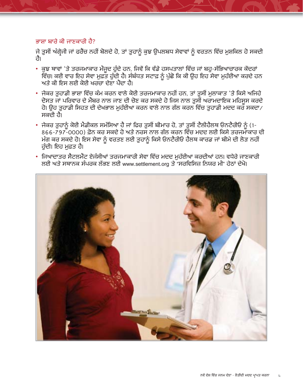#### ਭਾਸ਼ਾ ਬਾਰੇ ਕੀ ਜਾਣਕਾਰੀ ਹੈ?

ਜੇ ਤੁਸੀਂ ਅੰਗ੍ਰੇਜੀ ਜਾਂ ਫਰੈਂਚ ਨਹੀਂ ਬੋਲਦੇ ਹੋ, ਤਾਂ ਤੁਹਾਨੂੰ ਕੁਝ ਉਪਲਬਧ ਸੇਵਾਵਾਂ ਨੂੰ ਵਰਤਨ ਵਿੱਚ ਮੁਸ਼ਕਿਲ ਹੋ ਸਕਦੀ तौ।

- ਕੁਝ ਥਾਵਾਂ 'ਤੇ ਤਰਜਮਾਕਾਰ ਮੌਜੂਦ ਹੁੰਦੇ ਹਨ, ਜਿਵੇਂ ਕਿ ਵੱਡੇ ਹਸਪਤਾਲਾਂ ਵਿੱਚ ਜਾਂ ਬਹੁ-ਸੱਭਿਆਚਾਰਕ ਕੇਂਦਰਾਂ .<br>ਵਿੱਚ। ਕਈ ਵਾਰ ਇਹ ਸੇਵਾ ਮੁਫ਼ਤ ਹੁੰਦੀ ਹੈ। ਸੰਬੰਧਤ ਸਟਾਫ਼ ਨੂੰ ਪੁੱਛੋ ਕਿ ਕੀ ਉਹ ਇਹ ਸੇਵਾ ਮੁਹੱਈਆ ਕਰਦੇ ਹਨ ਅਤੇ ਕੀ ਇਸ ਲਈ ਕੋਈ ਖਰਚਾ ਦੇਣਾ ਪੈਂਦਾ ਹੈ।
- ਜੇਕਰ ਤੁਹਾਡੀ ਭਾਸ਼ਾ ਵਿੱਚ ਕੰਮ ਕਰਨ ਵਾਲੇ ਕੋਈ ਤਰਜਮਾਕਾਰ ਨਹੀਂ ਹਨ, ਤਾਂ ਤੁਸੀਂ ਮੁਲਾਕਾਤ 'ਤੇ ਕਿਸੇ ਅਜਿਹੇ ਦੋਸਤ ਜਾਂ ਪਰਿਵਾਰ ਦੇ ਮੈਂਬਰ ਨਾਲ ਜਾਣ ਦੀ ਚੋਣ ਕਰ ਸਕਦੇ ਹੋ ਜਿਸ ਨਾਲ ਤਸੀਂ ਅਰਾਮਦਾਇਕ ਮਹਿਸਸ ਕਰਦੇ ਹੋ। ਉਹ ਤੁਹਾਡੀ ਸਿਹਤ ਦੀ ਦੇਖਭਾਲ ਮੁਹੱਈਆ ਕਰਨ ਵਾਲੇ ਨਾਲ ਗੱਲ ਕਰਨ ਵਿੱਚ ਤੁਹਾਡੀ ਮਦਦ ਕਰ ਸਕਦਾ ⁄ ਸਕਦੀ ਹੈ।
- ਜਕਰ ਤੁਹਾਨੂੰ ਕਈ ਮਡੀਕਲ ਸਮਾਸਆ ਹੋ ਜਾਂ ਫਿਰ ਤੁਸੀਂ ਬੀਮਾਰ ਹੋ, ਤਾਂ ਤੁਸੀਂ ਟਲੀਹਲਥ ਓਨਟਰੀਓ ਨੂੰ (1-866-797-0000) ਫ਼ੋਨ ਕਰ ਸਕਦੇ ਹੋ ਅਤੇ ਨਰਸ ਨਾਲ ਗੱਲ ਕਰਨ ਵਿੱਚ ਮਦਦ ਲਈ ਕਿਸੇ ਤਰਜਮਾਕਾਰ ਦੀ ਮੰਗ ਕਰ ਸਕਦੇ ਹੋ। ਇਸ ਸੇਵਾ ਨੂੰ ਵਰਤਣ ਲਈ ਤੁਹਾਨੂੰ ਕਿਸੇ ਓਨਟੈਰੀਓ ਹੈਲਥ ਕਾਰਡ ਜਾਂ ਬੀਮੇ ਦੀ ਲੋੜ ਨਹੀਂ ਹੁੰਦੀ। ਇਹ ਮੁਫ਼ਤ ਹੈ।
- ਜਿਆਦਾਤਰ ਸੈਟਲਮੈਂਟ ਏਜੰਸੀਆਂ ਤਰਜਮਾਕਾਰੀ ਸੇਵਾ ਵਿੱਚ ਮਦਦ ਮੁਹੱਈਆ ਕਰਦੀਆਂ ਹਨ। ਵਧੇਰੇ ਜਾਣਕਾਰੀ ਲਈ ਅਤੇ ਸਥਾਨਕ ਸੰਪਰਕ ਲੱਭਣ ਲਈ www.settlement.org ਤੇ "ਸਰਵਿਸਿਜ਼ ਨਿਯਰ ਮੀ" ਹੇਠਾਂ ਦੇਖੋ।

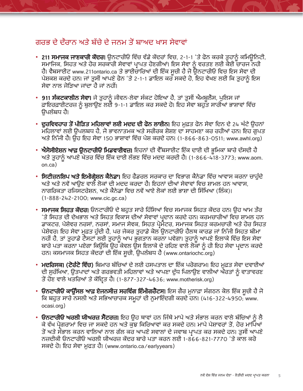### ਗਰਭ ਦੇ ਦੌਰਾਨ ਅਤੇ ਬੱਚੇ ਦੇ ਜਨਮ ਤੋਂ ਬਾਅਦ ਖਾਸ ਸੇਵਾਵਾਂ

- 211 ਸਮਾਜਕ ਜਾਣਕਾਰੀ ਕੇਂਦਰ। ਉਨਟਾਰੀਓ ਵਿੱਚ ਵੱਡੇ ਕੇਂਦਰਾਂ ਵਿਚ, 2-1-1 'ਤੇ ਫੋਨ ਕਰਕੇ ਤੁਹਾਨੂੰ ਕਮਿਊਨਿਟੀ, ਸਮਾਜਿਕ, ਸਿਹਤ ਅਤੇ ਹੋਰ ਸਰਕਾਰੀ ਸੇਵਾਵਾਂ ਪ੍ਰਾਪਤ ਹੋਣਗੀਆਂ। ਇਸ ਸੇਵਾ ਨੂੰ ਵਰਤਣ ਲਈ ਕੋਈ ਚਾਰਜ ਨਹੀ ਹੈ। ਵੈਬਸਾਈਟ www.211ontario.ca ਤੇ ਭਾਈਚਾਰਿਆਂ ਦੀ ਇੱਕ ਸੂਚੀ ਹੈ ਜੋ ਉਨਟਾਰੀਓ ਵਿਚ ਇਸ ਸੇਵਾ ਦੀ ਪੇਸ਼ਕਸ਼ ਕਰਦੇ ਹਨ। ਜਾਂ ਤੁਸੀਂ ਆਪਣੇ ਫੋਨ 'ਤੇ 2-1-1 ਡਾਇਲ ਕਰ ਸਕਦੇ ਹੋ, ਇਹ ਵੇਖਣ ਲਈ ਕਿ ਤੁਹਾਨੂੰ ਇਸ ਸੇਵਾ ਨਾਲ ਜੋਤਿਆ ਜਾਂਦਾ ਹੈ ਜਾਂ ਨਹੀਂ।
- 911 ਸੰਕਟਕਾਲੀਨ ਸੇਵਾ। ਜੇ ਤਹਾਨੰ ਜੀਵਨ-ਲੇਵਾ ਸੰਕਟ ਹੋਇਆ ਹੈ, ਤਾਂ ਤਸੀਂ ਐਮਬਲੈਂਸ, ਪਲਿਸ ਜਾਂ ਫ਼ਾਇਰਫ਼ਾਈਟਰਜ਼ ਨੂੰ ਬੁਲਾਉਣ ਲਈ 9-1-1 ਡਾਇਲ ਕਰ ਸਕਦੇ ਹੋ। ਇਹ ਸੇਵਾ ਬਹੁਤ ਸਾਰੀਆਂ ਭਾਸ਼ਾਵਾਂ ਵਿੱਚ ੳਪਲੱਬਧ ਹੈ।
- ਦੂਰਵਿਵਹਾਰ ਤੋਂ ਪੀੜਿਤ ਮਹਿਲਾਵਾਂ ਲਈ ਮਦਦ ਦੀ ਫੋਨ ਲਾਈਨ। ਇਹ ਮੁਫ਼ਤ ਫੋਨ ਸੇਵਾ ਦਿਨ ਦੇ 24 ਘੰਟੇ ਉਹਨਾਂ ਮਹਿਲਾਵਾਂ ਲਈ ਉਪਲਬਧ ਹੈ, ਜੋ ਭਾਵਨਾਤਮਕ ਅਤੇ ਸਰੀਰਕ ਸ਼ੋਸ਼ਣ ਦਾ ਸਾਹਮਣਾ ਕਰ ਰਹੀਆਂ ਹਨ। ਇਹ ਗੁਪਤ ਅਤੇ ਨਿੱਜੀ ਹੈ। ਉਹ ਇਹ ਸੇਵਾ 150 ਭਾਸ਼ਾਵਾਂ ਵਿੱਚ ਪੇਸ਼ ਕਰਦੇ ਹਨ। (1-866-863-0511; www.awhl.org)
- ਐਸੋਸੀਏਸ਼ਨ ਆਫ਼ ਉਨਟਾਰੀਓ ਮਿਡਵਾਈਵਜ਼। ਇਹਨਾਂ ਦੀ ਵੈੱਬਸਾਈਟ ਇੱਕ ਦਾਈ ਦੀ ਭੁਮਿਕਾ ਬਾਰੇ ਦੱਸਦੀ ਹੈ ਅਤੇ ਤੁਹਾਨੂੰ ਆਪਣੇ ਖੇਤਰ ਵਿੱਚ ਇੱਕ ਦਾਈ ਲੱਭਣ ਵਿੱਚ ਮਦਦ ਕਰਦੀ ਹੈ। (1-866-418-3773; www.aom.  $on$   $ca$ )
- ਸਿਟੀਜ਼ਨਸ਼ਿਪ ਅਤੇ ਇਮੀਗੇਸ਼ਨ ਕੈਨੇਡਾ। ਇਹ ਫੈਡਰਲ ਸਰਕਾਰ ਦਾ ਵਿਭਾਗ ਕੈਨੇਡਾ ਵਿੱਚ ਆਵਾਸ ਕਰਨਾ ਚਾਹੁੰਦੇ ਅਤੇ ਅਤੇ ਨਵੇਂ ਆੳਣ ਵਾਲੇ ਲੋਕਾਂ ਦੀ ਮਦਦ ਕਰਦਾ ਹੈ। ਇਹਨਾਂ ਦੀਆਂ ਸੇਵਾਵਾਂ ਵਿਚ ਸ਼ਾਮਲ ਹਨ ਆਵਾਸ. ਨਾਗਰਿਕਤਾ ਰਜਿਸਟਰੇਸ਼ਨ. ਅਤੇ ਕੈਨੇਡਾ ਵਿਚ ਨਵੇਂ ਆਏ ਲੋਕਾਂ ਲਈ ਭਾਸ਼ਾ ਦੀ ਸਿੱਖਿਆ (ਲਿੰਕ)। (1-888-242-2100; www.cic.gc.ca)
- ਸਮਾਜਕ ਸਿਹਤ ਕੇਂਦਰ। ਓਨਟਾਰੀਓ ਦੇ ਬਹਤ ਸਾਰੇ ਹਿੱਸਿਆਂ ਵਿਚ ਸਮਾਜਕ ਸਿਹਤ ਕੇਂਦਰ ਹਨ। ੳਹ ਆਮ ਤੌਰ 'ਤੇ ਸਿਹਤ ਦੀ ਦੇਖਭਾਲ ਅਤੇ ਸਿਹਤ ਵਿਕਾਸ ਦੀਆਂ ਸੇਵਾਵਾਂ ਪ੍ਰਦਾਨ ਕਰਦੇ ਹਨ। ਕਰਮਚਾਰੀਆਂ ਵਿਚ ਸ਼ਾਮਲ ਹਨ ਡਾਕਟਰ, ਪੇਸ਼ੇਵਰ ਨਰਸਾਂ, ਨਰਸਾਂ, ਸਮਾਜ ਸੇਵਕ, ਸਿਹਤ ਪ੍ਰੋਮੈਟਰ, ਸਮਾਜਕ ਸਿਹਤ ਕਰਮਚਾਰੀ ਅਤੇ ਹੋਰ ਸਿਹਤ ਪੇਸ਼ੇਵਰ। ਇਹ ਸੇਵਾ ਮਫ਼ਤ ਹੰਦੀ ਹੈ, ਪਰ ਜੇਕਰ ਤਹਾਡੇ ਕੋਲ ਉਨਟਾਰੀਓ ਹੈਲਥ ਕਾਰਡ ਜਾਂ ਨਿੱਜੀ ਸਿਹਤ ਬੀਮਾ ਨਹੀਂ ਹੈ, ਤਾਂ ਤੁਹਾਡੇ ਟੈਸਟਾਂ ਲਈ ਤੁਹਾਨੂੰ ਆਪ ਭੁਗਤਾਨ ਕਰਨਾ ਪਵੇਗਾ। ਤੁਹਾਨੂੰ ਆਪਣੇ ਇਲਾਕੇ ਵਿੱਚ ਇਸ ਸੇਵਾ ਬਾਰੇ ਪਤਾ ਕਰਨਾ ਪਏਗਾ ਕਿਉਂਕਿ ਉਹ ਕੇਵਲ ਉਸ ਇਲਾਕੇ ਦੇ ਰਹਿਣ ਵਾਲੇ ਲੋਕਾਂ ਨੂੰ ਹੀ ਇਹ ਸੇਵਾ ਪ੍ਰਦਾਨ ਕਰਦੇ ਹਨ। ਕਸਮਾਜਕ ਸਿਹਤ ਕੇਂਦਰਾਂ ਦੀ ਇੱਕ ਸੂਚੀ, ਉਪਲੱਬਧ ਹੈ (www.ontariochc.org)
- **ਮਦਰਿਸਕ। (ਟੋਰੰਟੋ ਵਿੱਚ)** ਬਿਮਾਰ ਬੱਚਿਆਂ ਦੇ ਲਈ ਹਸਪਤਾਲ ਦਾ ਇੱਕ ਪਰੋਗਰਾਮ। ਇਹ ਮਫ਼ਤ ਸੇਵਾ ਦਵਾਈਆਂ ਦੀ ਸੁਰੱਖਿਆ, ਉਤਪਾਦਾਂ ਅਤੇ ਗਰਭਵਤੀ ਮਹਿਲਾਵਾਂ ਅਤੇ ਆਪਣਾ ਦੁੱਧ ਪਿਲਾਉਣ ਵਾਲੀਆਂ ਔਰਤਾਂ ਨੂੰ ਵਾਤਾਵਰਣ ਤੋਂ ਹੋਣ ਵਾਲੇ ਖਤਰਿਆਂ ਤੇ ਕੇਂਦਿਤ ਹੈ। (1-877-327-4636; www.motherisk.org)
- ਓਨਟਾਰੀਓ ਕਾਉੰਸਲ ਆਫ਼ ਏਜਨਸੀਜ਼ ਸਰਵਿੰਗ ਇੰਮੀਗਰੈਂਟਸ। ਇਸ ਗੈਰ ਮੁਨਾਫ਼ਾ ਸੰਗਠਨ ਕੋਲ ਇੱਕ ਸੂਚੀ ਹੈ ਜੋ ਕਿ ਬਹੁਤ ਸਾਰੇ ਨਸਲੀ ਅਤੇ ਸਭਿਆਚਾਰਕ ਸਮੁਹਾਂ ਦੀ ਨੁਮਾਇੰਦਗੀ ਕਰਦੇ ਹਨ। (416-322-4950, www. ocasi.org)
- **ਓਨਟਾਰੀਓ ਅਰਲੀ ਯੀਅਰਜ਼ ਸੈਂਟਰਜ਼**। ਇਹ ਉਹ ਥਾਵਾਂ ਹਨ ਜਿੱਥੇ ਮਾਪੇ ਅਤੇ ਸੰਭਾਲ ਕਰਨ ਵਾਲੇ ਬੱਚਿਆਂ ਨੂੰ ਲੈ ਕੇ ਵੱਖ ਪ੍ਰੋਗਰਾਮਾਂ ਵਿਚ ਜਾ ਸਕਦੇ ਹਨ ਅਤੇ ਕੁਝ ਕਿਰਿਆਵਾਂ ਕਰ ਸਕਦੇ ਹਨ। ਮਾਪੇ ਪੇਸ਼ਾਵਰਾਂ ਤੋਂ, ਹੋਰ ਮਾਪਿਆਂ ਤੋਂ ਅਤੇ ਸੌਭਾਲ ਕਰਨ ਵਾਲਿਆਂ ਨਾਲ ਗੱਲ ਕਰ ਆਪਣੇ ਸਵਾਲਾਂ ਦੇ ਜਵਾਬ ਪਾਪਤ ਕਰ ਸਕਦੇ ਹਨ। ਤੁਸੀਂ ਆਪਣੇ ਨਜ਼ਦੀਕੀ ਓਨਟਾਰੀਓ ਅਰਲੀ ਯੀਅਰਜ਼ ਕੇਂਦਰ ਬਾਰੇ ਪਤਾ ਕਰਨ ਲਈ 1-866-821-7770 'ਤੇ ਕਾਲ ਕਰੋ ਸਕਦੇ ਹੋ। ਇਹ ਸੇਵਾ ਮੁਫਤ ਹੈ। (www.ontario.ca/earlyyears)